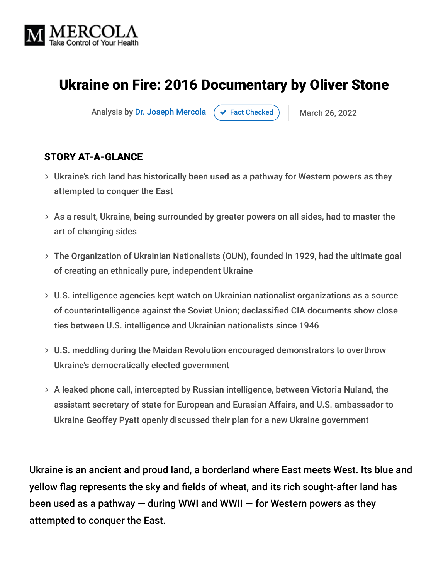

# Ukraine on Fire: 2016 Documentary by Oliver Stone

Analysis by [Dr. Joseph Mercola](https://www.mercola.com/forms/background.htm)  $\rightarrow$  [Fact Checked](javascript:void(0)) March 26, 2022

#### STORY AT-A-GLANCE

- Ukraine's rich land has historically been used as a pathway for Western powers as they attempted to conquer the East
- $>$  As a result, Ukraine, being surrounded by greater powers on all sides, had to master the art of changing sides
- The Organization of Ukrainian Nationalists (OUN), founded in 1929, had the ultimate goal of creating an ethnically pure, independent Ukraine
- U.S. intelligence agencies kept watch on Ukrainian nationalist organizations as a source of counterintelligence against the Soviet Union; declassified CIA documents show close ties between U.S. intelligence and Ukrainian nationalists since 1946
- U.S. meddling during the Maidan Revolution encouraged demonstrators to overthrow Ukraine's democratically elected government
- A leaked phone call, intercepted by Russian intelligence, between Victoria Nuland, the assistant secretary of state for European and Eurasian Affairs, and U.S. ambassador to Ukraine Geoffey Pyatt openly discussed their plan for a new Ukraine government

Ukraine is an ancient and proud land, a borderland where East meets West. Its blue and yellow flag represents the sky and fields of wheat, and its rich sought-after land has been used as a pathway  $-$  during WWI and WWII  $-$  for Western powers as they attempted to conquer the East.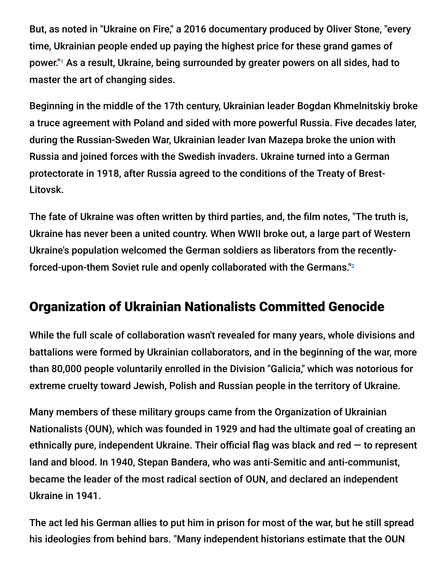But, as noted in "Ukraine on Fire," a 2016 documentary produced by Oliver Stone, "every time, Ukrainian people ended up paying the highest price for these grand games of power."1 As a result, Ukraine, being surrounded by greater powers on all sides, had to master the art of changing sides.

Beginning in the middle of the 17th century, Ukrainian leader Bogdan Khmelnitskiy broke a truce agreement with Poland and sided with more powerful Russia. Five decades later, during the Russian-Sweden War, Ukrainian leader Ivan Mazepa broke the union with Russia and joined forces with the Swedish invaders. Ukraine turned into a German protectorate in 1918, after Russia agreed to the conditions of the Treaty of Brest-Litovsk.

The fate of Ukraine was often written by third parties, and, the film notes, "The truth is, Ukraine has never been a united country. When WWII broke out, a large part of Western Ukraine's population welcomed the German soldiers as liberators from the recentlyforced-upon-them Soviet rule and openly collaborated with the Germans." 2

## Organization of Ukrainian Nationalists Committed Genocide

While the full scale of collaboration wasn't revealed for many years, whole divisions and battalions were formed by Ukrainian collaborators, and in the beginning of the war, more than 80,000 people voluntarily enrolled in the Division "Galicia," which was notorious for extreme cruelty toward Jewish, Polish and Russian people in the territory of Ukraine.

Many members of these military groups came from the Organization of Ukrainian Nationalists (OUN), which was founded in 1929 and had the ultimate goal of creating an ethnically pure, independent Ukraine. Their official flag was black and red  $-$  to represent land and blood. In 1940, Stepan Bandera, who was anti-Semitic and anti-communist, became the leader of the most radical section of OUN, and declared an independent Ukraine in 1941.

The act led his German allies to put him in prison for most of the war, but he still spread his ideologies from behind bars. "Many independent historians estimate that the OUN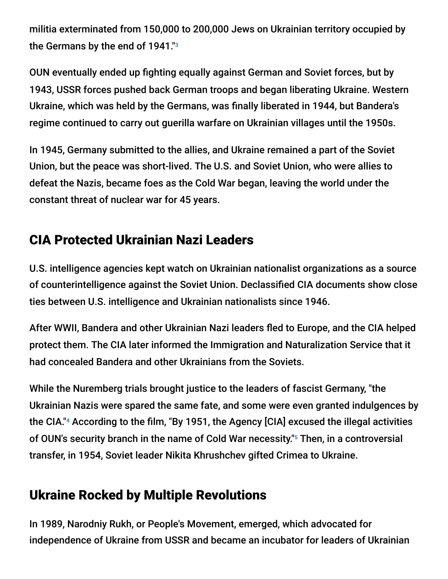militia exterminated from 150,000 to 200,000 Jews on Ukrainian territory occupied by the Germans by the end of 1941." 3

OUN eventually ended up fighting equally against German and Soviet forces, but by 1943, USSR forces pushed back German troops and began liberating Ukraine. Western Ukraine, which was held by the Germans, was finally liberated in 1944, but Bandera's regime continued to carry out guerilla warfare on Ukrainian villages until the 1950s.

In 1945, Germany submitted to the allies, and Ukraine remained a part of the Soviet Union, but the peace was short-lived. The U.S. and Soviet Union, who were allies to defeat the Nazis, became foes as the Cold War began, leaving the world under the constant threat of nuclear war for 45 years.

# CIA Protected Ukrainian Nazi Leaders

U.S. intelligence agencies kept watch on Ukrainian nationalist organizations as a source of counterintelligence against the Soviet Union. Declassified CIA documents show close ties between U.S. intelligence and Ukrainian nationalists since 1946.

After WWII, Bandera and other Ukrainian Nazi leaders fled to Europe, and the CIA helped protect them. The CIA later informed the Immigration and Naturalization Service that it had concealed Bandera and other Ukrainians from the Soviets.

While the Nuremberg trials brought justice to the leaders of fascist Germany, "the Ukrainian Nazis were spared the same fate, and some were even granted indulgences by the CIA."4 According to the film, "By 1951, the Agency [CIA] excused the illegal activities of OUN's security branch in the name of Cold War necessity."<sup>5</sup> Then, in a controversial transfer, in 1954, Soviet leader Nikita Khrushchev gifted Crimea to Ukraine.

## Ukraine Rocked by Multiple Revolutions

In 1989, Narodniy Rukh, or People's Movement, emerged, which advocated for independence of Ukraine from USSR and became an incubator for leaders of Ukrainian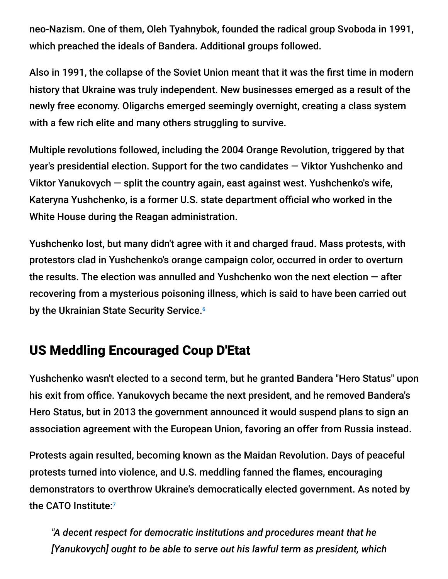neo-Nazism. One of them, Oleh Tyahnybok, founded the radical group Svoboda in 1991, which preached the ideals of Bandera. Additional groups followed.

Also in 1991, the collapse of the Soviet Union meant that it was the first time in modern history that Ukraine was truly independent. New businesses emerged as a result of the newly free economy. Oligarchs emerged seemingly overnight, creating a class system with a few rich elite and many others struggling to survive.

Multiple revolutions followed, including the 2004 Orange Revolution, triggered by that year's presidential election. Support for the two candidates — Viktor Yushchenko and Viktor Yanukovych — split the country again, east against west. Yushchenko's wife, Kateryna Yushchenko, is a former U.S. state department official who worked in the White House during the Reagan administration.

Yushchenko lost, but many didn't agree with it and charged fraud. Mass protests, with protestors clad in Yushchenko's orange campaign color, occurred in order to overturn the results. The election was annulled and Yushchenko won the next election  $-$  after recovering from a mysterious poisoning illness, which is said to have been carried out by the Ukrainian State Security Service.<sup>6</sup>

## US Meddling Encouraged Coup D'Etat

Yushchenko wasn't elected to a second term, but he granted Bandera "Hero Status" upon his exit from office. Yanukovych became the next president, and he removed Bandera's Hero Status, but in 2013 the government announced it would suspend plans to sign an association agreement with the European Union, favoring an offer from Russia instead.

Protests again resulted, becoming known as the Maidan Revolution. Days of peaceful protests turned into violence, and U.S. meddling fanned the flames, encouraging demonstrators to overthrow Ukraine's democratically elected government. As noted by the CATO Institute: 7

*"A decent respect for democratic institutions and procedures meant that he [Yanukovych] ought to be able to serve out his lawful term as president, which*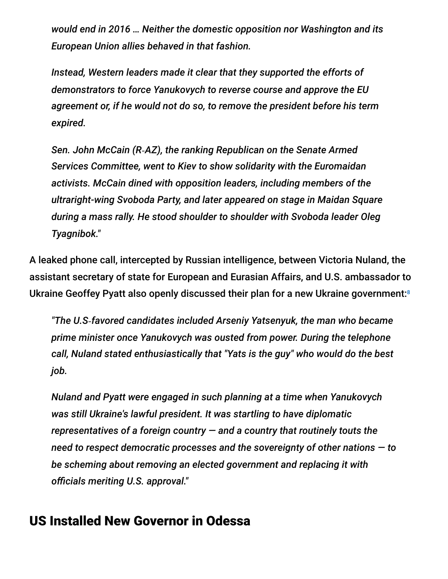*would end in 2016 … Neither the domestic opposition nor Washington and its European Union allies behaved in that fashion.*

*Instead, Western leaders made it clear that they supported the efforts of demonstrators to force Yanukovych to reverse course and approve the EU agreement or, if he would not do so, to remove the president before his term expired.*

*Sen. John McCain (R‑AZ), the ranking Republican on the Senate Armed Services Committee, went to Kiev to show solidarity with the Euromaidan activists. McCain dined with opposition leaders, including members of the ultraright-wing Svoboda Party, and later appeared on stage in Maidan Square during a mass rally. He stood shoulder to shoulder with Svoboda leader Oleg Tyagnibok."*

A leaked phone call, intercepted by Russian intelligence, between Victoria Nuland, the assistant secretary of state for European and Eurasian Affairs, and U.S. ambassador to Ukraine Geoffey Pyatt also openly discussed their plan for a new Ukraine government: 8

*"The U.S‑favored candidates included Arseniy Yatsenyuk, the man who became prime minister once Yanukovych was ousted from power. During the telephone call, Nuland stated enthusiastically that "Yats is the guy" who would do the best job.*

*Nuland and Pyatt were engaged in such planning at a time when Yanukovych was still Ukraine's lawful president. It was startling to have diplomatic representatives of a foreign country — and a country that routinely touts the need to respect democratic processes and the sovereignty of other nations — to be scheming about removing an elected government and replacing it with officials meriting U.S. approval."*

### US Installed New Governor in Odessa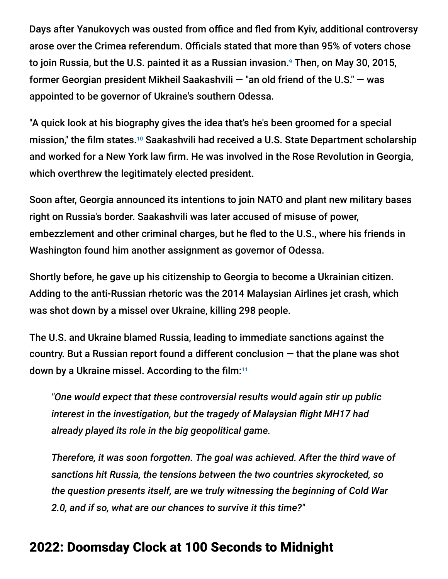Days after Yanukovych was ousted from office and fled from Kyiv, additional controversy arose over the Crimea referendum. Officials stated that more than 95% of voters chose to join Russia, but the U.S. painted it as a Russian invasion.<sup>9</sup> Then, on May 30, 2015, former Georgian president Mikheil Saakashvili — "an old friend of the U.S." — was appointed to be governor of Ukraine's southern Odessa.

"A quick look at his biography gives the idea that's he's been groomed for a special mission," the film states.<sup>10</sup> Saakashvili had received a U.S. State Department scholarship and worked for a New York law firm. He was involved in the Rose Revolution in Georgia, which overthrew the legitimately elected president.

Soon after, Georgia announced its intentions to join NATO and plant new military bases right on Russia's border. Saakashvili was later accused of misuse of power, embezzlement and other criminal charges, but he fled to the U.S., where his friends in Washington found him another assignment as governor of Odessa.

Shortly before, he gave up his citizenship to Georgia to become a Ukrainian citizen. Adding to the anti-Russian rhetoric was the 2014 Malaysian Airlines jet crash, which was shot down by a missel over Ukraine, killing 298 people.

The U.S. and Ukraine blamed Russia, leading to immediate sanctions against the country. But a Russian report found a different conclusion — that the plane was shot down by a Ukraine missel. According to the film: 11

*"One would expect that these controversial results would again stir up public interest in the investigation, but the tragedy of Malaysian flight MH17 had already played its role in the big geopolitical game.*

*Therefore, it was soon forgotten. The goal was achieved. After the third wave of sanctions hit Russia, the tensions between the two countries skyrocketed, so the question presents itself, are we truly witnessing the beginning of Cold War 2.0, and if so, what are our chances to survive it this time?"*

### 2022: Doomsday Clock at 100 Seconds to Midnight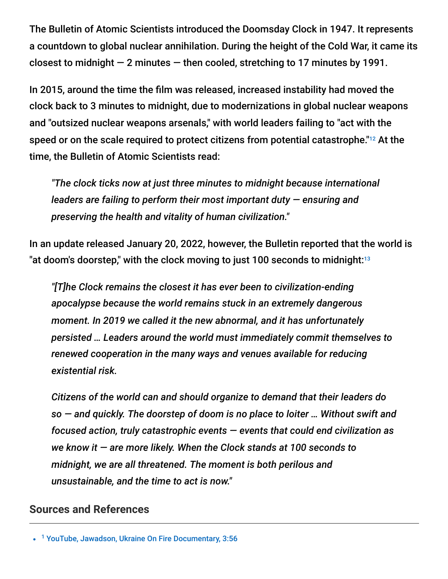The Bulletin of Atomic Scientists introduced the Doomsday Clock in 1947. It represents a countdown to global nuclear annihilation. During the height of the Cold War, it came its closest to midnight  $-2$  minutes  $-$  then cooled, stretching to 17 minutes by 1991.

In 2015, around the time the film was released, increased instability had moved the clock back to 3 minutes to midnight, due to modernizations in global nuclear weapons and "outsized nuclear weapons arsenals," with world leaders failing to "act with the speed or on the scale required to protect citizens from potential catastrophe." $^{12}$  At the time, the Bulletin of Atomic Scientists read:

*"The clock ticks now at just three minutes to midnight because international leaders are failing to perform their most important duty — ensuring and preserving the health and vitality of human civilization."*

In an update released January 20, 2022, however, the Bulletin reported that the world is "at doom's doorstep," with the clock moving to just 100 seconds to midnight: $^{\scriptscriptstyle 13}$ 

*"[T]he Clock remains the closest it has ever been to civilization-ending apocalypse because the world remains stuck in an extremely dangerous moment. In 2019 we called it the new abnormal, and it has unfortunately persisted … Leaders around the world must immediately commit themselves to renewed cooperation in the many ways and venues available for reducing existential risk.*

*Citizens of the world can and should organize to demand that their leaders do so — and quickly. The doorstep of doom is no place to loiter … Without swift and focused action, truly catastrophic events — events that could end civilization as we know it — are more likely. When the Clock stands at 100 seconds to midnight, we are all threatened. The moment is both perilous and unsustainable, and the time to act is now."*

#### **Sources and References**

<sup>&</sup>lt;sup>1</sup> [YouTube, Jawadson, Ukraine On Fire Documentary, 3:56](https://www.youtube.com/watch?v=yxau6qeWZ4w)